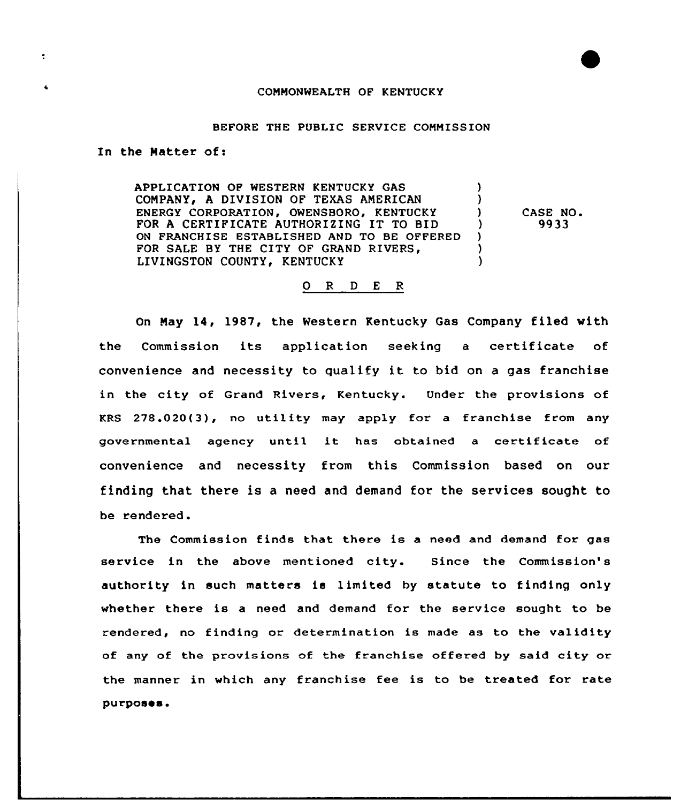## COMMONWEALTH OF KENTUCKY

## BEFORE THE PUBLIC SERVICE COMMISSION

In the Natter of:

 $\ddot{\mathbf{r}}$ 

APPLICATION OP WESTERN KENTUCKY GAS  $\mathbf{L}$ COMPANY, A DIVISION OF TEXAS AMERICAN A. ENERGY CORPORATION, OWENSBORO, KENTUCKY  $\mathbf{L}$ CASE NO. FOR <sup>A</sup> CERTIFICATE AUTHORIZING IT TO BID 9933  $\mathcal{L}$ ON FRANCHISE ESTABLISHED AND TO BE OFFERED  $\lambda$ FOR SALE BY THE CITY OF GRAND RIVERS,  $\lambda$ LIVINGSTON COUNTY, KENTUCKY  $\lambda$ 

## 0 R <sup>D</sup> E <sup>R</sup>

On Nay 14, 1987, the Western Kentucky Gas Company filed with the Commission its application seeking <sup>a</sup> certificate of convenience and necessity to qualify it to bid on <sup>a</sup> gas franchise in the city of Grand Rivers, Kentucky. Under the provisions of KRS 278.020(3), no utility may apply for a franchise from any governmental agency until it has obtained <sup>a</sup> certificate of convenience and necessity from this Commission based on our finding that there is a need and demand for the services sought to be rendered.

The Commission finds that there is a need and demand for gas service in the above mentioned city. Since the Commission's authority in such matters is limited by statute to finding only whether there is <sup>a</sup> need and demand for the service sought to be rendered, no finding or determination is made as to the validity of any of the provisions of the franchise offered by said city or the manner in which any franchise fee is to be treated for rate purposes.